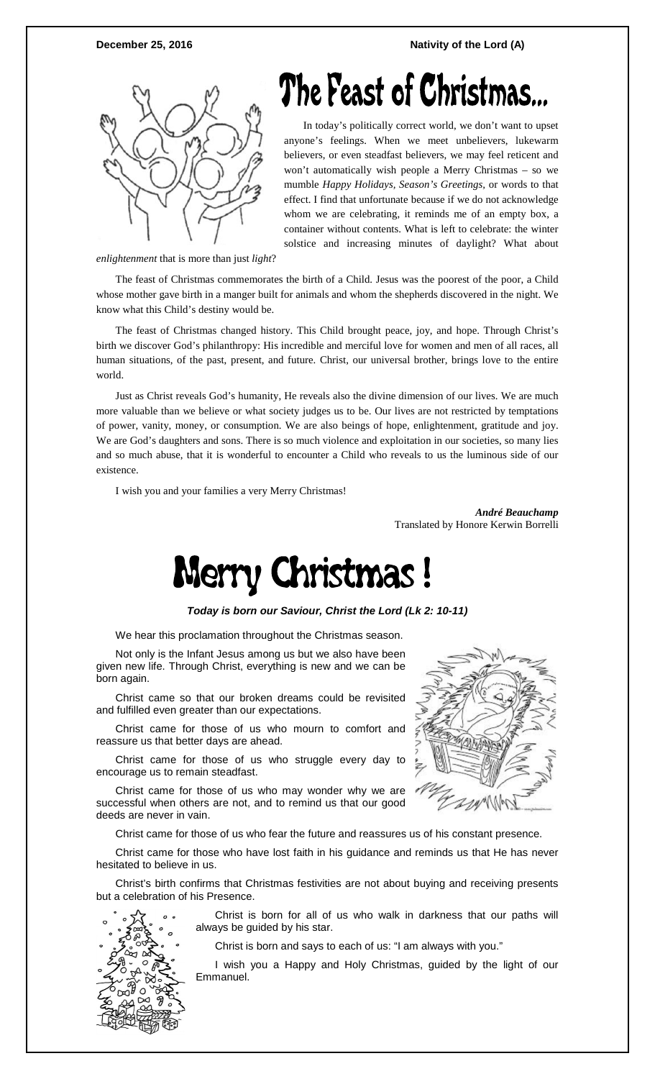

# The Feast of Christmas.

In today's politically correct world, we don't want to upset anyone's feelings. When we meet unbelievers, lukewarm believers, or even steadfast believers, we may feel reticent and won't automatically wish people a Merry Christmas – so we mumble *Happy Holidays, Season's Greetings,* or words to that effect. I find that unfortunate because if we do not acknowledge whom we are celebrating, it reminds me of an empty box, a container without contents. What is left to celebrate: the winter solstice and increasing minutes of daylight? What about

*enlightenment* that is more than just *light*?

The feast of Christmas commemorates the birth of a Child. Jesus was the poorest of the poor, a Child whose mother gave birth in a manger built for animals and whom the shepherds discovered in the night. We know what this Child's destiny would be.

The feast of Christmas changed history. This Child brought peace, joy, and hope. Through Christ's birth we discover God's philanthropy: His incredible and merciful love for women and men of all races, all human situations, of the past, present, and future. Christ, our universal brother, brings love to the entire world.

Just as Christ reveals God's humanity, He reveals also the divine dimension of our lives. We are much more valuable than we believe or what society judges us to be. Our lives are not restricted by temptations of power, vanity, money, or consumption. We are also beings of hope, enlightenment, gratitude and joy. We are God's daughters and sons. There is so much violence and exploitation in our societies, so many lies and so much abuse, that it is wonderful to encounter a Child who reveals to us the luminous side of our existence.

I wish you and your families a very Merry Christmas!

*André Beauchamp*  Translated by Honore Kerwin Borrelli



*Today is born our Saviour, Christ the Lord (Lk 2: 10-11)*

We hear this proclamation throughout the Christmas season.

Not only is the Infant Jesus among us but we also have been given new life. Through Christ, everything is new and we can be born again.

Christ came so that our broken dreams could be revisited and fulfilled even greater than our expectations.

Christ came for those of us who mourn to comfort and reassure us that better days are ahead.

Christ came for those of us who struggle every day to encourage us to remain steadfast.

Christ came for those of us who may wonder why we are successful when others are not, and to remind us that our good deeds are never in vain.

Christ came for those of us who fear the future and reassures us of his constant presence.

Christ came for those who have lost faith in his guidance and reminds us that He has never hesitated to believe in us.

Christ's birth confirms that Christmas festivities are not about buying and receiving presents but a celebration of his Presence.



Christ is born for all of us who walk in darkness that our paths will always be guided by his star.

Christ is born and says to each of us: "I am always with you."

I wish you a Happy and Holy Christmas, guided by the light of our Emmanuel.